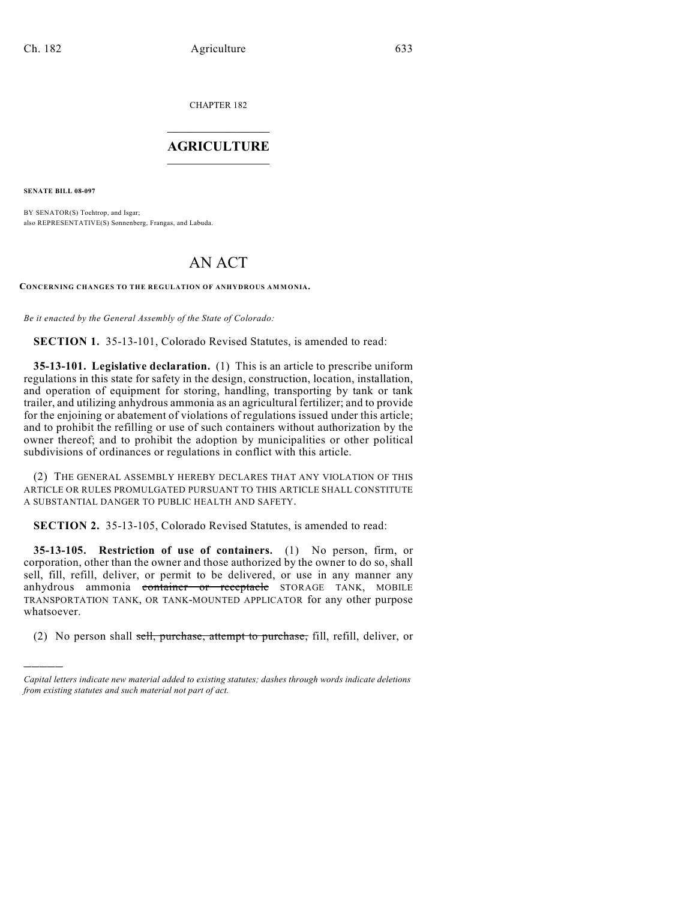CHAPTER 182

## $\overline{\phantom{a}}$  . The set of the set of the set of the set of the set of the set of the set of the set of the set of the set of the set of the set of the set of the set of the set of the set of the set of the set of the set o **AGRICULTURE**  $\_$   $\_$   $\_$   $\_$   $\_$   $\_$   $\_$   $\_$

**SENATE BILL 08-097**

)))))

BY SENATOR(S) Tochtrop, and Isgar; also REPRESENTATIVE(S) Sonnenberg, Frangas, and Labuda.

# AN ACT

**CONCERNING CHANGES TO THE REGULATION OF ANHYDROUS AMMONIA.**

*Be it enacted by the General Assembly of the State of Colorado:*

**SECTION 1.** 35-13-101, Colorado Revised Statutes, is amended to read:

**35-13-101. Legislative declaration.** (1) This is an article to prescribe uniform regulations in this state for safety in the design, construction, location, installation, and operation of equipment for storing, handling, transporting by tank or tank trailer, and utilizing anhydrous ammonia as an agricultural fertilizer; and to provide for the enjoining or abatement of violations of regulations issued under this article; and to prohibit the refilling or use of such containers without authorization by the owner thereof; and to prohibit the adoption by municipalities or other political subdivisions of ordinances or regulations in conflict with this article.

(2) THE GENERAL ASSEMBLY HEREBY DECLARES THAT ANY VIOLATION OF THIS ARTICLE OR RULES PROMULGATED PURSUANT TO THIS ARTICLE SHALL CONSTITUTE A SUBSTANTIAL DANGER TO PUBLIC HEALTH AND SAFETY.

**SECTION 2.** 35-13-105, Colorado Revised Statutes, is amended to read:

**35-13-105. Restriction of use of containers.** (1) No person, firm, or corporation, other than the owner and those authorized by the owner to do so, shall sell, fill, refill, deliver, or permit to be delivered, or use in any manner any anhydrous ammonia container or receptacle STORAGE TANK, MOBILE TRANSPORTATION TANK, OR TANK-MOUNTED APPLICATOR for any other purpose whatsoever.

(2) No person shall sell, purchase, attempt to purchase, fill, refill, deliver, or

*Capital letters indicate new material added to existing statutes; dashes through words indicate deletions from existing statutes and such material not part of act.*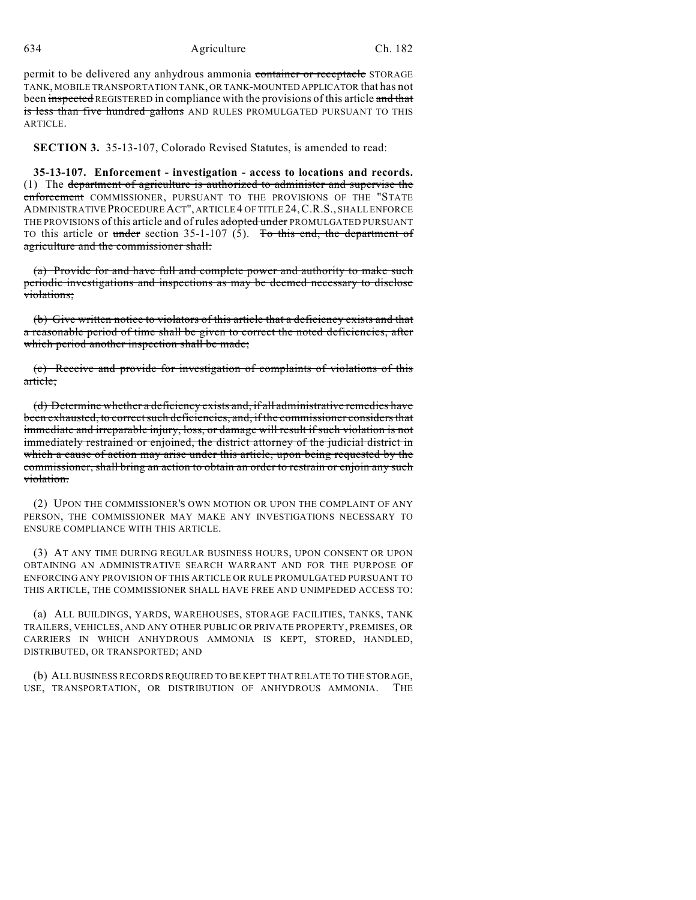#### 634 Agriculture Ch. 182

permit to be delivered any anhydrous ammonia container or receptacle STORAGE TANK, MOBILE TRANSPORTATION TANK, OR TANK-MOUNTED APPLICATOR that has not been inspected REGISTERED in compliance with the provisions of this article and that is less than five hundred gallons AND RULES PROMULGATED PURSUANT TO THIS ARTICLE.

**SECTION 3.** 35-13-107, Colorado Revised Statutes, is amended to read:

**35-13-107. Enforcement - investigation - access to locations and records.** (1) The department of agriculture is authorized to administer and supervise the enforcement COMMISSIONER, PURSUANT TO THE PROVISIONS OF THE "STATE ADMINISTRATIVE PROCEDURE ACT", ARTICLE 4 OF TITLE 24,C.R.S., SHALL ENFORCE THE PROVISIONS of this article and of rules adopted under PROMULGATED PURSUANT TO this article or under section 35-1-107 (5). To this end, the department of agriculture and the commissioner shall:

(a) Provide for and have full and complete power and authority to make such periodic investigations and inspections as may be deemed necessary to disclose violations;

(b) Give written notice to violators of this article that a deficiency exists and that a reasonable period of time shall be given to correct the noted deficiencies, after which period another inspection shall be made;

(c) Receive and provide for investigation of complaints of violations of this article;

(d) Determine whether a deficiency exists and, if all administrative remedies have been exhausted, to correct such deficiencies, and, if the commissioner considers that immediate and irreparable injury, loss, or damage will result if such violation is not immediately restrained or enjoined, the district attorney of the judicial district in which a cause of action may arise under this article, upon being requested by the commissioner, shall bring an action to obtain an order to restrain or enjoin any such violation.

(2) UPON THE COMMISSIONER'S OWN MOTION OR UPON THE COMPLAINT OF ANY PERSON, THE COMMISSIONER MAY MAKE ANY INVESTIGATIONS NECESSARY TO ENSURE COMPLIANCE WITH THIS ARTICLE.

(3) AT ANY TIME DURING REGULAR BUSINESS HOURS, UPON CONSENT OR UPON OBTAINING AN ADMINISTRATIVE SEARCH WARRANT AND FOR THE PURPOSE OF ENFORCING ANY PROVISION OF THIS ARTICLE OR RULE PROMULGATED PURSUANT TO THIS ARTICLE, THE COMMISSIONER SHALL HAVE FREE AND UNIMPEDED ACCESS TO:

(a) ALL BUILDINGS, YARDS, WAREHOUSES, STORAGE FACILITIES, TANKS, TANK TRAILERS, VEHICLES, AND ANY OTHER PUBLIC OR PRIVATE PROPERTY, PREMISES, OR CARRIERS IN WHICH ANHYDROUS AMMONIA IS KEPT, STORED, HANDLED, DISTRIBUTED, OR TRANSPORTED; AND

(b) ALL BUSINESS RECORDS REQUIRED TO BE KEPT THAT RELATE TO THE STORAGE, USE, TRANSPORTATION, OR DISTRIBUTION OF ANHYDROUS AMMONIA. THE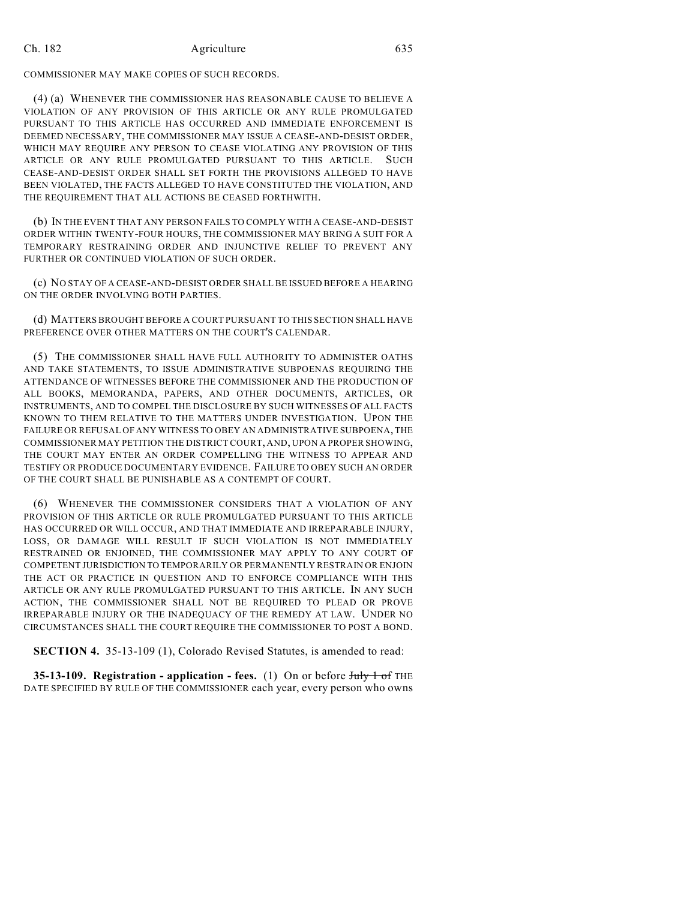#### Ch. 182 Agriculture 635

COMMISSIONER MAY MAKE COPIES OF SUCH RECORDS.

(4) (a) WHENEVER THE COMMISSIONER HAS REASONABLE CAUSE TO BELIEVE A VIOLATION OF ANY PROVISION OF THIS ARTICLE OR ANY RULE PROMULGATED PURSUANT TO THIS ARTICLE HAS OCCURRED AND IMMEDIATE ENFORCEMENT IS DEEMED NECESSARY, THE COMMISSIONER MAY ISSUE A CEASE-AND-DESIST ORDER, WHICH MAY REQUIRE ANY PERSON TO CEASE VIOLATING ANY PROVISION OF THIS ARTICLE OR ANY RULE PROMULGATED PURSUANT TO THIS ARTICLE. SUCH CEASE-AND-DESIST ORDER SHALL SET FORTH THE PROVISIONS ALLEGED TO HAVE BEEN VIOLATED, THE FACTS ALLEGED TO HAVE CONSTITUTED THE VIOLATION, AND THE REQUIREMENT THAT ALL ACTIONS BE CEASED FORTHWITH.

(b) IN THE EVENT THAT ANY PERSON FAILS TO COMPLY WITH A CEASE-AND-DESIST ORDER WITHIN TWENTY-FOUR HOURS, THE COMMISSIONER MAY BRING A SUIT FOR A TEMPORARY RESTRAINING ORDER AND INJUNCTIVE RELIEF TO PREVENT ANY FURTHER OR CONTINUED VIOLATION OF SUCH ORDER.

(c) NO STAY OF A CEASE-AND-DESIST ORDER SHALL BE ISSUED BEFORE A HEARING ON THE ORDER INVOLVING BOTH PARTIES.

(d) MATTERS BROUGHT BEFORE A COURT PURSUANT TO THIS SECTION SHALL HAVE PREFERENCE OVER OTHER MATTERS ON THE COURT'S CALENDAR.

(5) THE COMMISSIONER SHALL HAVE FULL AUTHORITY TO ADMINISTER OATHS AND TAKE STATEMENTS, TO ISSUE ADMINISTRATIVE SUBPOENAS REQUIRING THE ATTENDANCE OF WITNESSES BEFORE THE COMMISSIONER AND THE PRODUCTION OF ALL BOOKS, MEMORANDA, PAPERS, AND OTHER DOCUMENTS, ARTICLES, OR INSTRUMENTS, AND TO COMPEL THE DISCLOSURE BY SUCH WITNESSES OF ALL FACTS KNOWN TO THEM RELATIVE TO THE MATTERS UNDER INVESTIGATION. UPON THE FAILURE OR REFUSAL OF ANY WITNESS TO OBEY AN ADMINISTRATIVE SUBPOENA, THE COMMISSIONER MAY PETITION THE DISTRICT COURT, AND, UPON A PROPER SHOWING, THE COURT MAY ENTER AN ORDER COMPELLING THE WITNESS TO APPEAR AND TESTIFY OR PRODUCE DOCUMENTARY EVIDENCE. FAILURE TO OBEY SUCH AN ORDER OF THE COURT SHALL BE PUNISHABLE AS A CONTEMPT OF COURT.

(6) WHENEVER THE COMMISSIONER CONSIDERS THAT A VIOLATION OF ANY PROVISION OF THIS ARTICLE OR RULE PROMULGATED PURSUANT TO THIS ARTICLE HAS OCCURRED OR WILL OCCUR, AND THAT IMMEDIATE AND IRREPARABLE INJURY, LOSS, OR DAMAGE WILL RESULT IF SUCH VIOLATION IS NOT IMMEDIATELY RESTRAINED OR ENJOINED, THE COMMISSIONER MAY APPLY TO ANY COURT OF COMPETENT JURISDICTION TO TEMPORARILY OR PERMANENTLY RESTRAIN OR ENJOIN THE ACT OR PRACTICE IN QUESTION AND TO ENFORCE COMPLIANCE WITH THIS ARTICLE OR ANY RULE PROMULGATED PURSUANT TO THIS ARTICLE. IN ANY SUCH ACTION, THE COMMISSIONER SHALL NOT BE REQUIRED TO PLEAD OR PROVE IRREPARABLE INJURY OR THE INADEQUACY OF THE REMEDY AT LAW. UNDER NO CIRCUMSTANCES SHALL THE COURT REQUIRE THE COMMISSIONER TO POST A BOND.

**SECTION 4.** 35-13-109 (1), Colorado Revised Statutes, is amended to read:

**35-13-109. Registration - application - fees.** (1) On or before July 1 of THE DATE SPECIFIED BY RULE OF THE COMMISSIONER each year, every person who owns